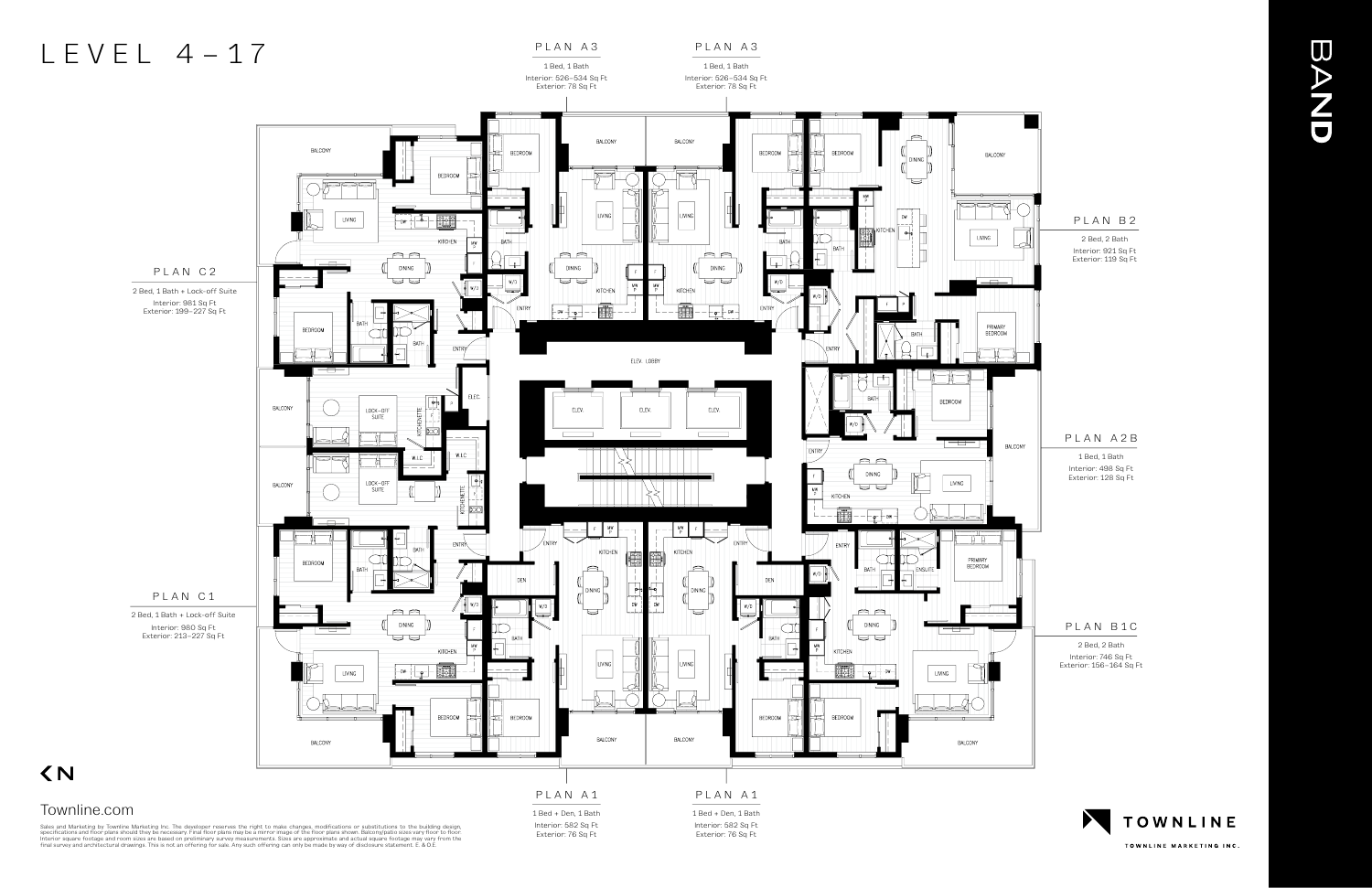#### PLAN A3





1 Bed, 1 Bath Interior: 526–534 Sq Ft



Sales and Marketing by Townline Marketing Inc. The developer reserves the right to make changes, modifications or substitutions to the building design,<br>specifications and floor plans should they be necessary. Final floor p

 $\langle N$ 

Interior: 582 Sq Ft Exterior: 76 Sq Ft

1 Bed + Den, 1 Bath Interior: 582 Sq Ft Exterior: 76 Sq Ft



TOWNLINE MARKETING INC.

## **BAND**

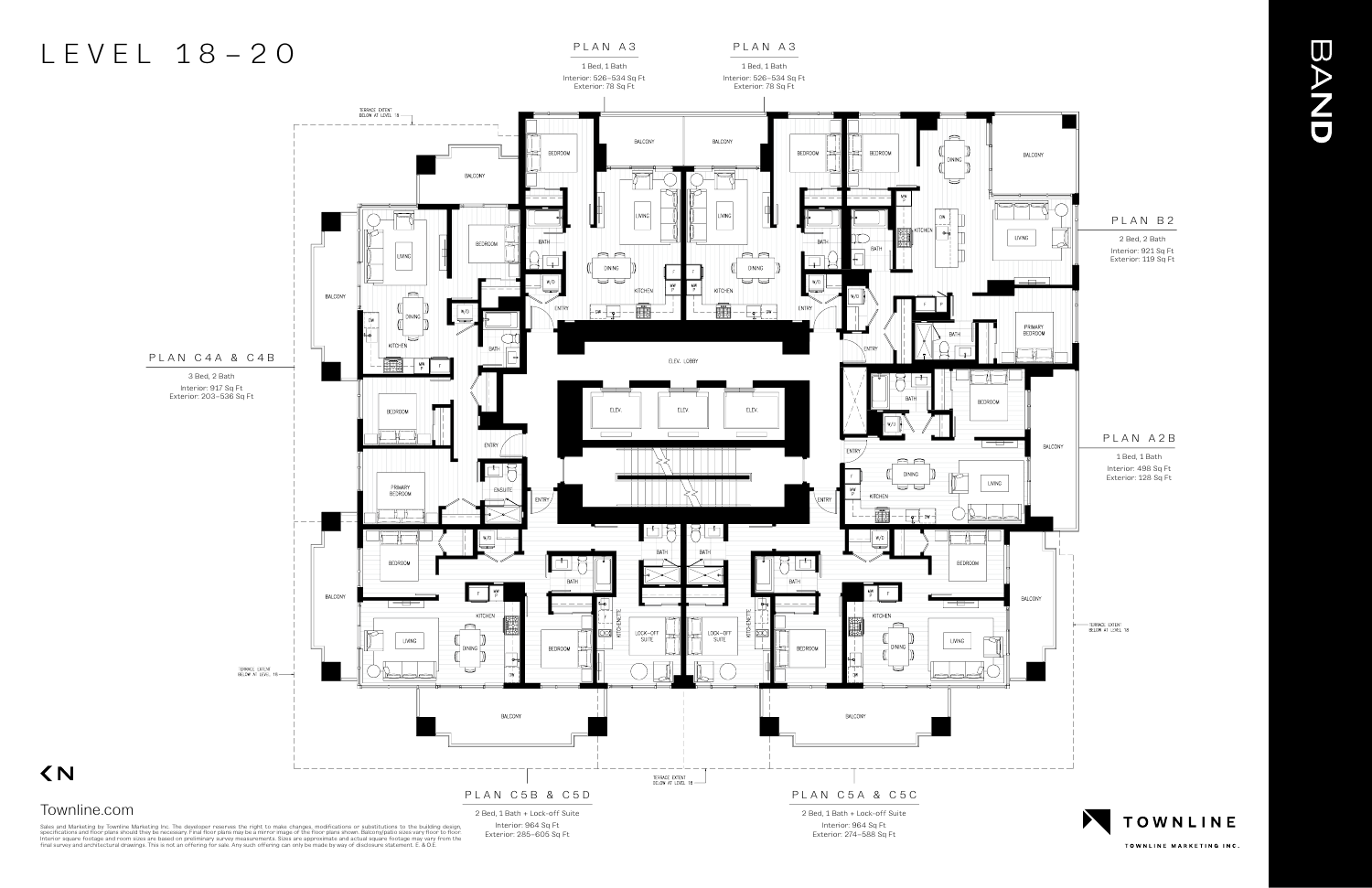PLAN A3

#### PLAN A3



Sales and Marketing by Townline Marketing Inc. The developer reserves the right to make changes, modifications or substitutions to the building design,<br>specifications and floor plans should they be necessary. Final floor p

 $\langle N$ 

TOWNLINE MARKETING INC.

# **BAND**

## LEVEL 18–20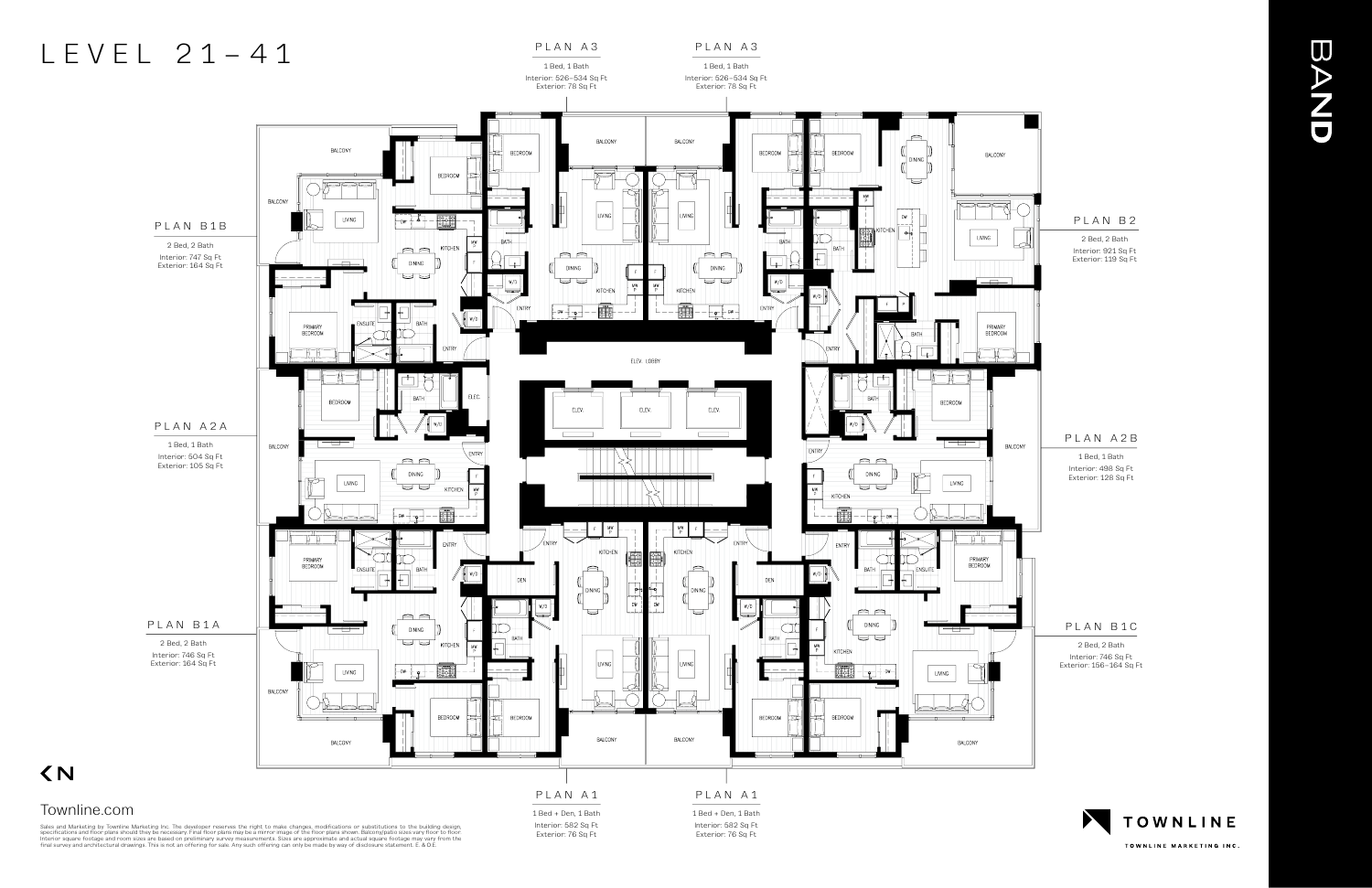#### PLAN A3 1 Bed, 1 Bath

Interior: 526–534 Sq Ft

#### PLAN A3

1 Bed, 1 Bath Interior: 526–534 Sq Ft



Sales and Marketing by Townline Marketing Inc. The developer reserves the right to make changes, modifications or substitutions to the building design,<br>specifications and floor plans should they be necessary. Final floor p

1 Bed + Den, 1 Bath Interior: 582 Sq Ft Exterior: 76 Sq Ft

1 Bed + Den, 1 Bath Interior: 582 Sq Ft Exterior: 76 Sq Ft



TOWNLINE MARKETING INC.

## **BAND**

### LEVEL 21–41

Townline.com

 $\langle N$